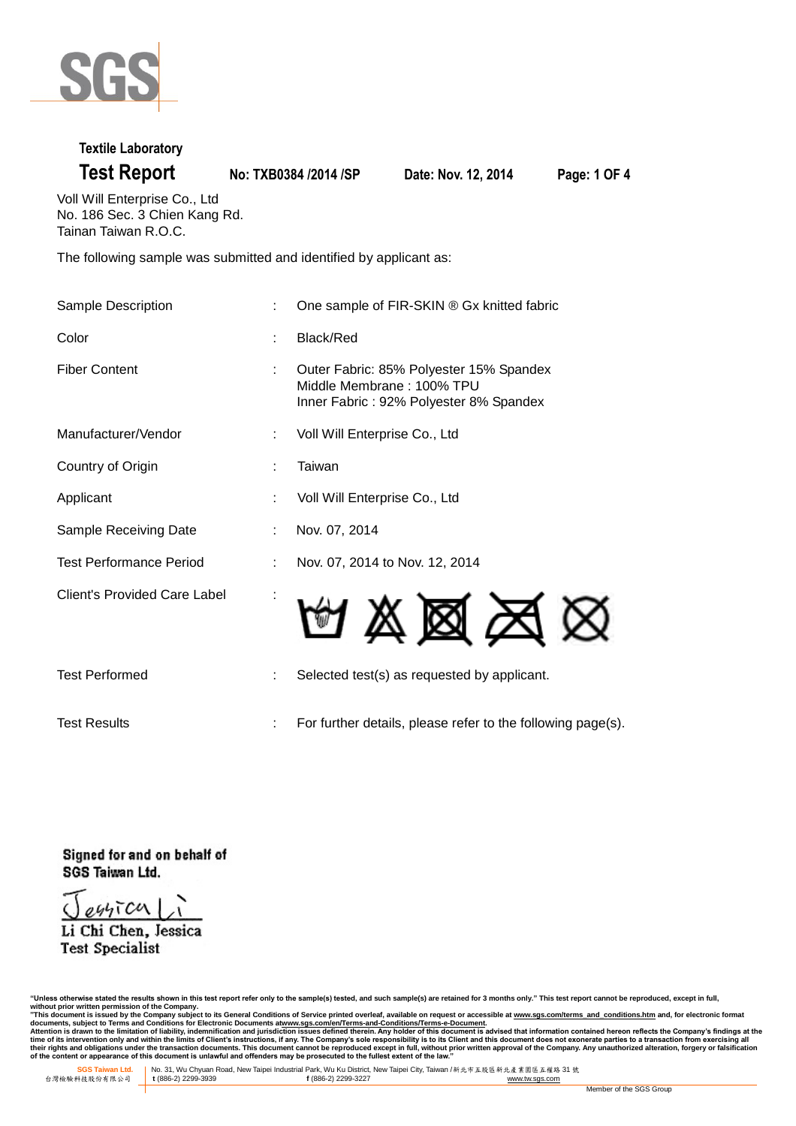

#### **Textile Laboratory**

**Test Report No: TXB0384 /2014 /SP Date: Nov. 12, 2014 Page: 1 OF 4**

Voll Will Enterprise Co., Ltd No. 186 Sec. 3 Chien Kang Rd. Tainan Taiwan R.O.C.

The following sample was submitted and identified by applicant as:

| Sample Description                  |   | One sample of FIR-SKIN ® Gx knitted fabric                                                                     |
|-------------------------------------|---|----------------------------------------------------------------------------------------------------------------|
| Color                               | ÷ | Black/Red                                                                                                      |
| <b>Fiber Content</b>                | ÷ | Outer Fabric: 85% Polyester 15% Spandex<br>Middle Membrane: 100% TPU<br>Inner Fabric: 92% Polyester 8% Spandex |
| Manufacturer/Vendor                 |   | Voll Will Enterprise Co., Ltd                                                                                  |
| Country of Origin                   |   | Taiwan                                                                                                         |
| Applicant                           |   | Voll Will Enterprise Co., Ltd                                                                                  |
| Sample Receiving Date               |   | Nov. 07, 2014                                                                                                  |
| <b>Test Performance Period</b>      |   | Nov. 07, 2014 to Nov. 12, 2014                                                                                 |
| <b>Client's Provided Care Label</b> |   |                                                                                                                |
| <b>Test Performed</b>               |   | Selected test(s) as requested by applicant.                                                                    |
| <b>Test Results</b>                 |   | For further details, please refer to the following page(s).                                                    |

Signed for and on behalf of

 $e44704$ 

SGS Taiwan Ltd.

Li Chi Chen, Jessica **Test Specialist** 

"Unless otherwise stated the results shown in this test report refer only to the sample(s) tested, and such sample(s) are retained for 3 months only." This test report cannot be reproduced, except in full,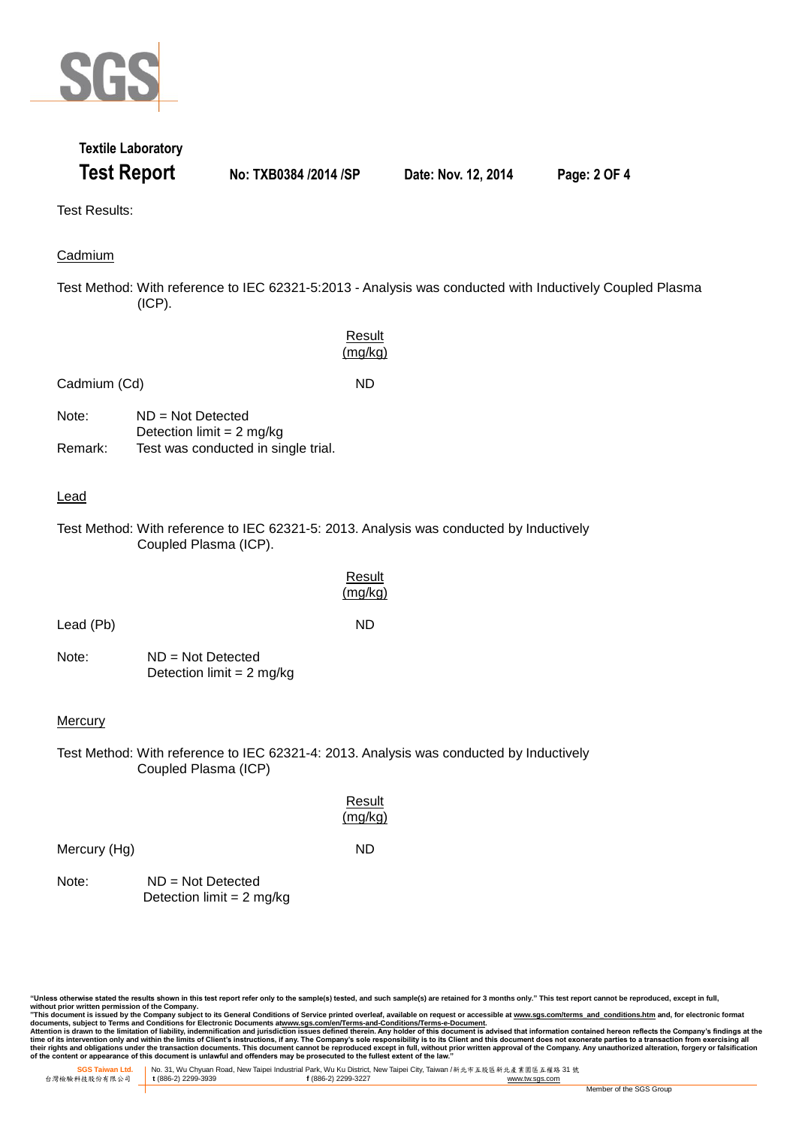

## **Textile Laboratory Test Report No: TXB0384 /2014 /SP Date: Nov. 12, 2014 Page: 2 OF 4**

Test Results:

**Cadmium** 

Test Method: With reference to IEC 62321-5:2013 - Analysis was conducted with Inductively Coupled Plasma (ICP).

|                  |                                                                                           | Result<br>(mg/kg)                                                                       |
|------------------|-------------------------------------------------------------------------------------------|-----------------------------------------------------------------------------------------|
| Cadmium (Cd)     |                                                                                           | <b>ND</b>                                                                               |
| Note:<br>Remark: | $ND = Not$ Detected<br>Detection $limit = 2$ mg/kg<br>Test was conducted in single trial. |                                                                                         |
| <u>Lead</u>      |                                                                                           |                                                                                         |
|                  | Coupled Plasma (ICP).                                                                     | Test Method: With reference to IEC 62321-5: 2013. Analysis was conducted by Inductively |
|                  |                                                                                           | Result<br>(mg/kg)                                                                       |
| Lead (Pb)        |                                                                                           | <b>ND</b>                                                                               |
| Note:            | $ND = Not$ Detected<br>Detection limit = $2 \text{ mg/kg}$                                |                                                                                         |
| <b>Mercury</b>   |                                                                                           |                                                                                         |
|                  | Coupled Plasma (ICP)                                                                      | Test Method: With reference to IEC 62321-4: 2013. Analysis was conducted by Inductively |
|                  |                                                                                           | Result<br>(mg/kg)                                                                       |
| Mercury (Hg)     |                                                                                           | <b>ND</b>                                                                               |
| Note:            | $ND = Not$ Detected<br>Detection limit = $2$ mg/kg                                        |                                                                                         |

"Unless otherwise stated the results shown in this test report refer only to the sample(s) tested, and such sample(s) are retained for 3 months only." This test report cannot be reproduced, except in full,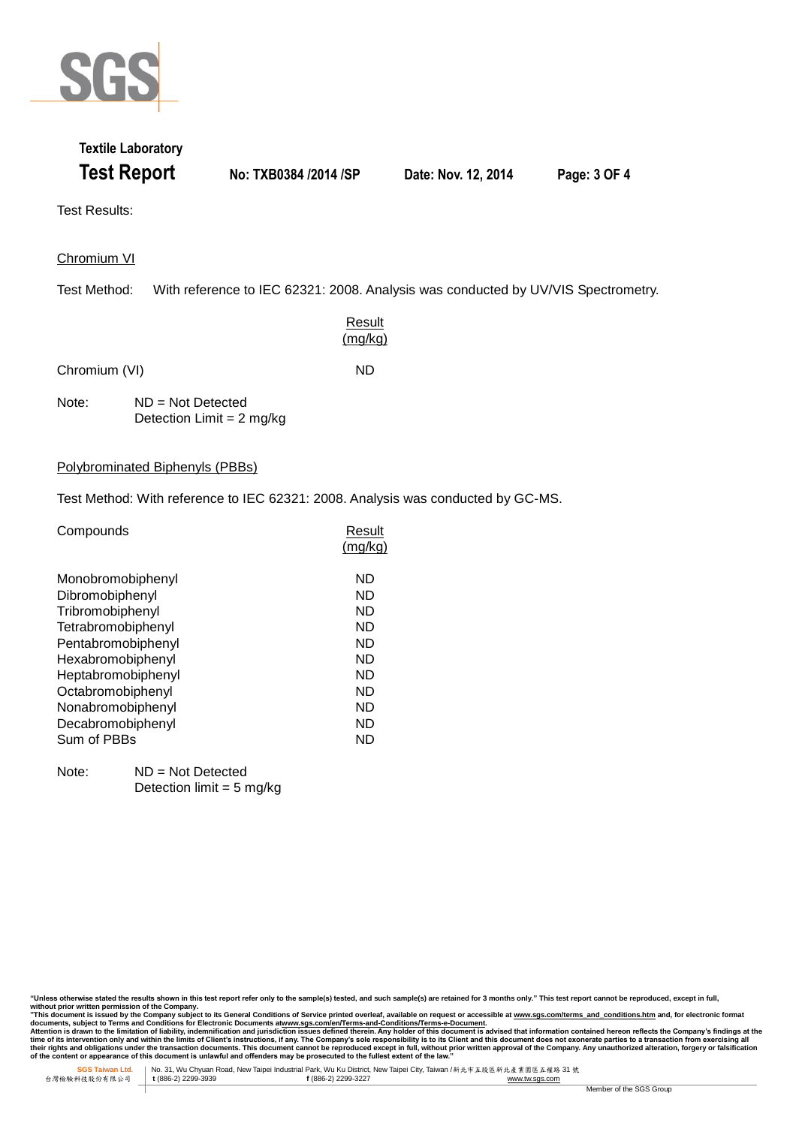

## **Textile Laboratory Test Report No: TXB0384 /2014 /SP Date: Nov. 12, 2014 Page: 3 OF 4**

Test Results:

Chromium VI

Test Method: With reference to IEC 62321: 2008. Analysis was conducted by UV/VIS Spectrometry.

| Result  |  |
|---------|--|
| (mg/kg) |  |

Chromium (VI) ND

Note: ND = Not Detected Detection Limit = 2 mg/kg

#### Polybrominated Biphenyls (PBBs)

Test Method: With reference to IEC 62321: 2008. Analysis was conducted by GC-MS.

| Compounds          | Result<br>(mq/kg) |
|--------------------|-------------------|
| Monobromobiphenyl  | ND                |
| Dibromobiphenyl    | ND                |
| Tribromobiphenyl   | ND                |
| Tetrabromobiphenyl | ND                |
| Pentabromobiphenyl | ND                |
| Hexabromobiphenyl  | ND                |
| Heptabromobiphenyl | ND                |
| Octabromobiphenyl  | ND                |
| Nonabromobiphenyl  | ND                |
| Decabromobiphenyl  | ND                |
| Sum of PBBs        | ND                |

Note: ND = Not Detected Detection limit =  $5 \text{ ma/ka}$ 

"Unless otherwise stated the results shown in this test report refer only to the sample(s) tested, and such sample(s) are retained for 3 months only." This test report cannot be reproduced, except in full,